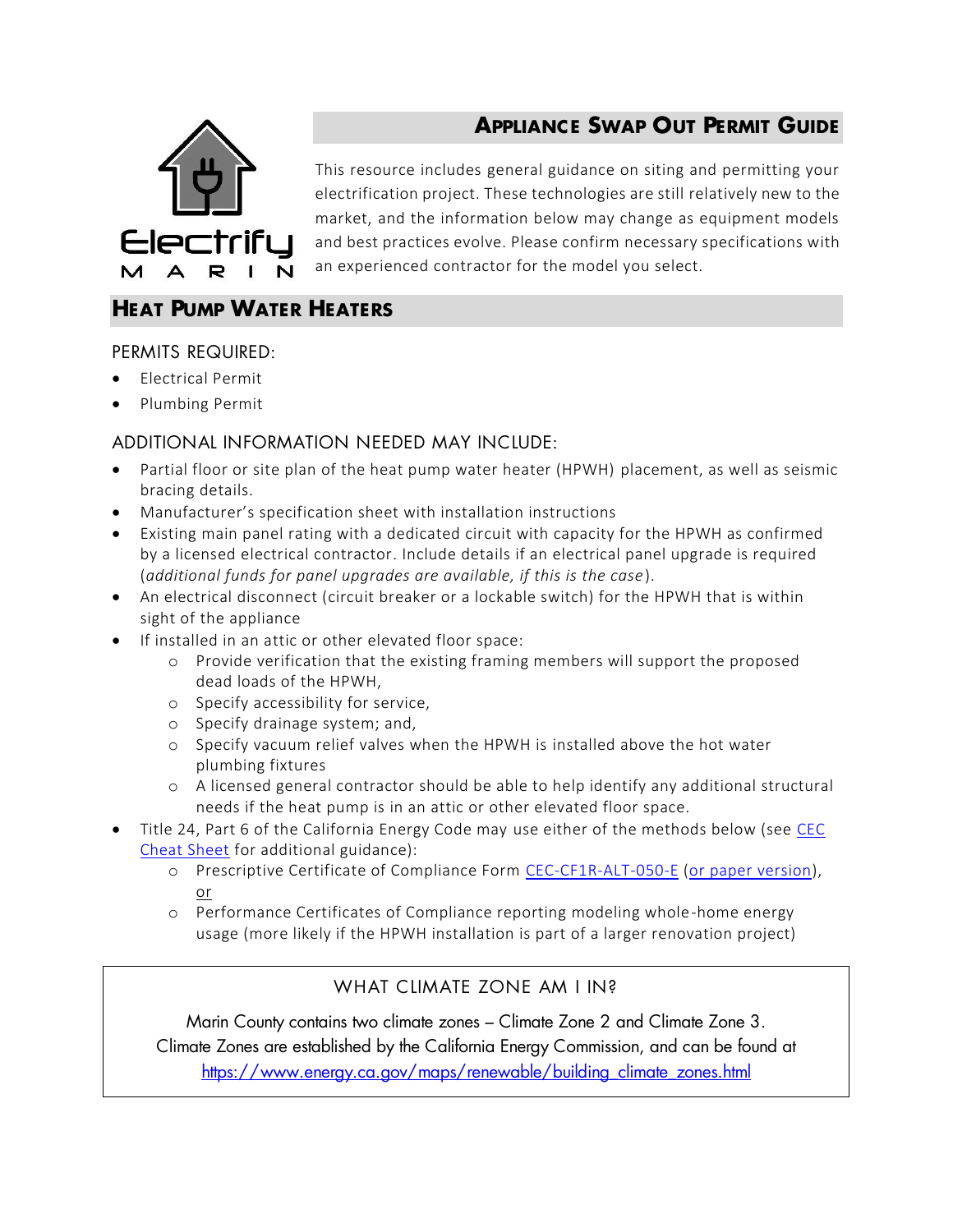

# **APPLIANCE SWAP OUT PERMIT GUIDE**

This resource includes general guidance on siting and permitting your electrification project. These technologies are still relatively new to the market, and the information below may change as equipment models and best practices evolve. Please confirm necessary specifications with an experienced contractor for the model you select.

## HEAT PUMP WATER HEATERS

#### PERMITS REQUIRED:

- Electrical Permit
- Plumbing Permit

#### ADDITIONAL INFORMATION NEEDED MAY INCLUDE:

- Partial floor or site plan of the heat pump water heater (HPWH) placement, as well as seismic bracing details.
- Manufacturer's specification sheet with installation instructions
- Existing main panel rating with a dedicated circuit with capacity for the HPWH as confirmed by a licensed electrical contractor. Include details if an electrical panel upgrade is required (*additional funds for panel upgrades are available, if this is the case*).
- An electrical disconnect (circuit breaker or a lockable switch) for the HPWH that is within sight of the appliance
- If installed in an attic or other elevated floor space:
	- o Provide verification that the existing framing members will support the proposed dead loads of the HPWH,
	- o Specify accessibility for service,
	- o Specify drainage system; and,
	- o Specify vacuum relief valves when the HPWH is installed above the hot water plumbing fixtures
	- o A licensed general contractor should be able to help identify any additional structural needs if the heat pump is in an attic or other elevated floor space.
- Title 24, Part 6 of the California Energy Code may use either of the methods below (see [CEC](https://www.energy.ca.gov/title24/2016standards/documents/2016_water_alterations_postcard.pdf)  [Cheat Sheet](https://www.energy.ca.gov/title24/2016standards/documents/2016_water_alterations_postcard.pdf) for additional guidance):
	- o Prescriptive Certificate of Compliance Form [CEC-CF1R-ALT-050-E](http://www.energy.ca.gov/2015publications/CEC-400-2015-032/appendices/forms/Alterations_and_Additions_Non_HERS_Verified_Forms/2016-CF1R-ALT-05-E-PrescriptiveAlterations-SimpleNonHERS-PaperVersion.pdf) [\(or paper version\)](https://www.energy.ca.gov/2015publications/CEC-400-2015-032/appendices/forms/CF1R/2016-CF1R-ALT-05-E-PrescriptiveAlterations-SimpleNonHERS-PaperVersion.pdf), or
	- o Performance Certificates of Compliance reporting modeling whole-home energy usage (more likely if the HPWH installation is part of a larger renovation project)

### WHAT CIIMATE ZONE AM I IN?

Marin County contains two climate zones – Climate Zone 2 and Climate Zone 3. Climate Zones are established by the California Energy Commission, and can be found at [https://www.energy.ca.gov/maps/renewable/building\\_climate\\_zones.html](https://www.energy.ca.gov/maps/renewable/building_climate_zones.html)